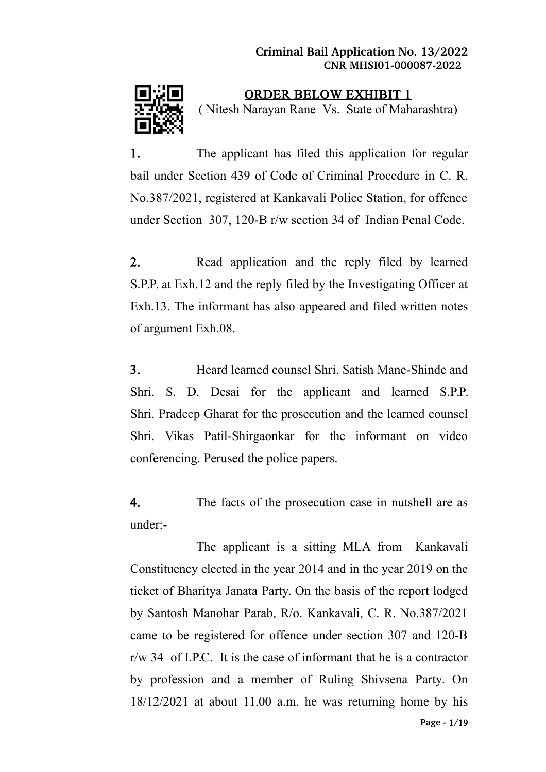

ORDER BELOW EXHIBIT 1 ( Nitesh Narayan Rane Vs. State of Maharashtra)

1. The applicant has filed this application for regular bail under Section 439 of Code of Criminal Procedure in C. R. No.387/2021, registered at Kankavali Police Station, for offence under Section 307, 120-B r/w section 34 of Indian Penal Code.

2. Read application and the reply filed by learned S.P.P. at Exh.12 and the reply filed by the Investigating Officer at Exh.13. The informant has also appeared and filed written notes of argument Exh.08.

3. Heard learned counsel Shri. Satish Mane-Shinde and Shri. S. D. Desai for the applicant and learned S.P.P. Shri. Pradeep Gharat for the prosecution and the learned counsel Shri. Vikas Patil-Shirgaonkar for the informant on video conferencing. Perused the police papers.

4. The facts of the prosecution case in nutshell are as under:-

The applicant is a sitting MLA from Kankavali Constituency elected in the year 2014 and in the year 2019 on the ticket of Bharitya Janata Party. On the basis of the report lodged by Santosh Manohar Parab, R/o. Kankavali, C. R. No.387/2021 came to be registered for offence under section 307 and 120-B  $r/w$  34 of I.P.C. It is the case of informant that he is a contractor by profession and a member of Ruling Shivsena Party. On 18/12/2021 at about 11.00 a.m. he was returning home by his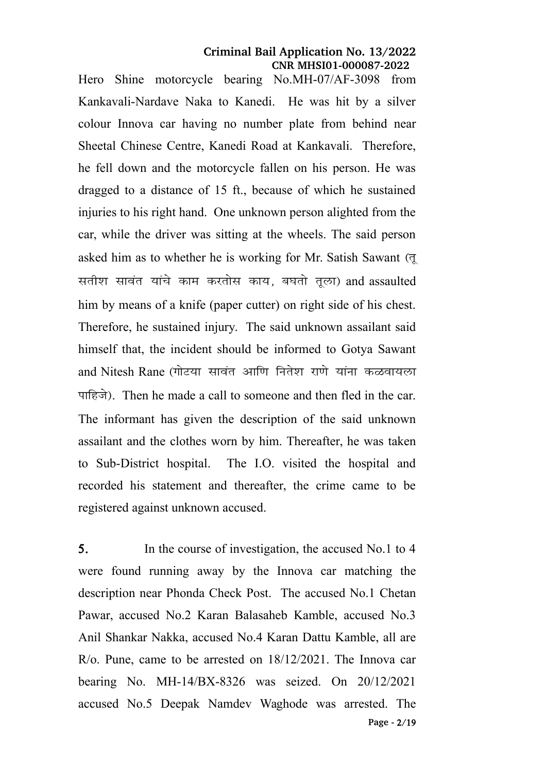Hero Shine motorcycle bearing No.MH-07/AF-3098 from Kankavali-Nardave Naka to Kanedi. He was hit by a silver colour Innova car having no number plate from behind near Sheetal Chinese Centre, Kanedi Road at Kankavali. Therefore, he fell down and the motorcycle fallen on his person. He was dragged to a distance of 15 ft., because of which he sustained injuries to his right hand. One unknown person alighted from the car, while the driver was sitting at the wheels. The said person asked him as to whether he is working for Mr. Satish Sawant  $(\bar{q})$ सतीश सावंत यांचे काम करतोस काय, बघतो तुला) and assaulted him by means of a knife (paper cutter) on right side of his chest. Therefore, he sustained injury. The said unknown assailant said himself that, the incident should be informed to Gotya Sawant and Nitesh Rane (गोटया सावंत आणि नितेश राणे यांना कळवायला पाहिजे). Then he made a call to someone and then fled in the car. The informant has given the description of the said unknown assailant and the clothes worn by him. Thereafter, he was taken to Sub-District hospital. The I.O. visited the hospital and recorded his statement and thereafter, the crime came to be registered against unknown accused.

5. In the course of investigation, the accused No.1 to 4 were found running away by the Innova car matching the description near Phonda Check Post. The accused No.1 Chetan Pawar, accused No.2 Karan Balasaheb Kamble, accused No.3 Anil Shankar Nakka, accused No.4 Karan Dattu Kamble, all are R/o. Pune, came to be arrested on 18/12/2021. The Innova car bearing No. MH-14/BX-8326 was seized. On 20/12/2021 accused No.5 Deepak Namdev Waghode was arrested. The **Page** 2**/**19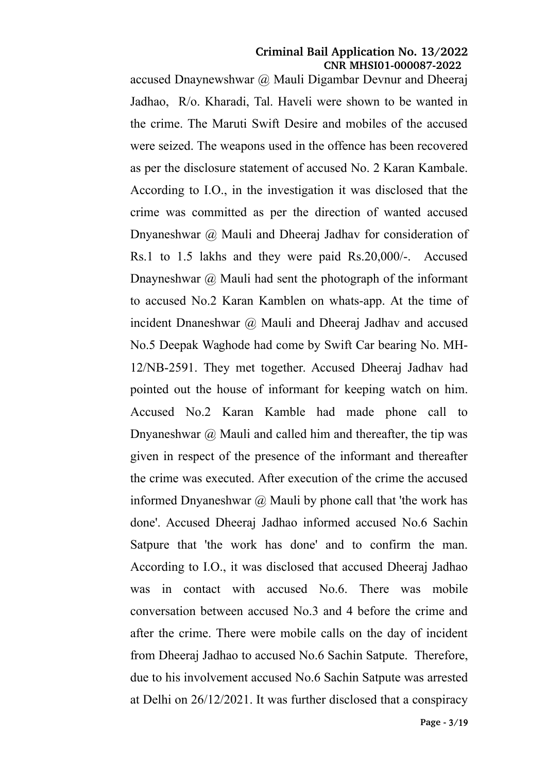accused Dnaynewshwar @ Mauli Digambar Devnur and Dheeraj Jadhao, R/o. Kharadi, Tal. Haveli were shown to be wanted in the crime. The Maruti Swift Desire and mobiles of the accused were seized. The weapons used in the offence has been recovered as per the disclosure statement of accused No. 2 Karan Kambale. According to I.O., in the investigation it was disclosed that the crime was committed as per the direction of wanted accused Dnyaneshwar @ Mauli and Dheeraj Jadhav for consideration of Rs.1 to 1.5 lakhs and they were paid Rs.20,000/-. Accused Dnayneshwar  $\omega$  Mauli had sent the photograph of the informant to accused No.2 Karan Kamblen on whats-app. At the time of incident Dnaneshwar @ Mauli and Dheeraj Jadhav and accused No.5 Deepak Waghode had come by Swift Car bearing No. MH-12/NB-2591. They met together. Accused Dheeraj Jadhav had pointed out the house of informant for keeping watch on him. Accused No.2 Karan Kamble had made phone call to Dnyaneshwar  $\omega$  Mauli and called him and thereafter, the tip was given in respect of the presence of the informant and thereafter the crime was executed. After execution of the crime the accused informed Dnyaneshwar  $\omega$  Mauli by phone call that 'the work has done'. Accused Dheeraj Jadhao informed accused No.6 Sachin Satpure that 'the work has done' and to confirm the man. According to I.O., it was disclosed that accused Dheeraj Jadhao was in contact with accused No.6. There was mobile conversation between accused No.3 and 4 before the crime and after the crime. There were mobile calls on the day of incident from Dheeraj Jadhao to accused No.6 Sachin Satpute. Therefore, due to his involvement accused No.6 Sachin Satpute was arrested at Delhi on 26/12/2021. It was further disclosed that a conspiracy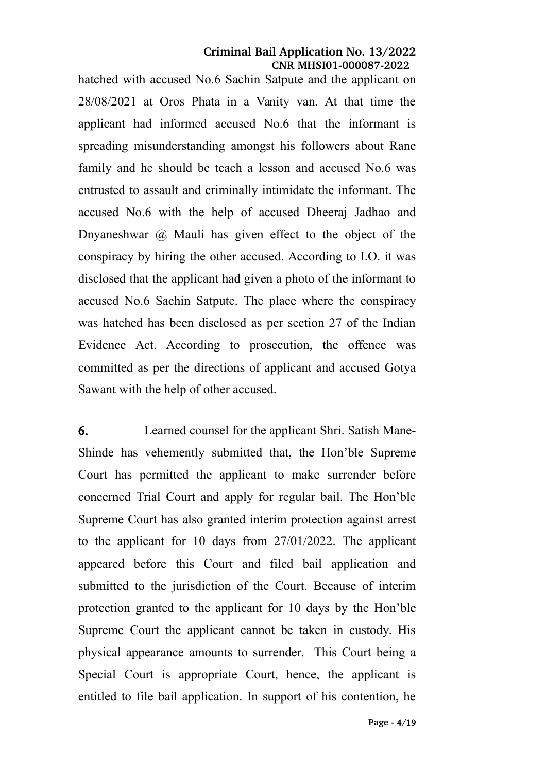hatched with accused No.6 Sachin Satpute and the applicant on 28/08/2021 at Oros Phata in a Vanity van. At that time the applicant had informed accused No.6 that the informant is spreading misunderstanding amongst his followers about Rane family and he should be teach a lesson and accused No.6 was entrusted to assault and criminally intimidate the informant. The accused No.6 with the help of accused Dheeraj Jadhao and Dnyaneshwar  $\omega$  Mauli has given effect to the object of the conspiracy by hiring the other accused. According to I.O. it was disclosed that the applicant had given a photo of the informant to accused No.6 Sachin Satpute. The place where the conspiracy was hatched has been disclosed as per section 27 of the Indian Evidence Act. According to prosecution, the offence was committed as per the directions of applicant and accused Gotya Sawant with the help of other accused.

6. Learned counsel for the applicant Shri. Satish Mane-Shinde has vehemently submitted that, the Hon'ble Supreme Court has permitted the applicant to make surrender before concerned Trial Court and apply for regular bail. The Hon'ble Supreme Court has also granted interim protection against arrest to the applicant for 10 days from 27/01/2022. The applicant appeared before this Court and filed bail application and submitted to the jurisdiction of the Court. Because of interim protection granted to the applicant for 10 days by the Hon'ble Supreme Court the applicant cannot be taken in custody. His physical appearance amounts to surrender. This Court being a Special Court is appropriate Court, hence, the applicant is entitled to file bail application. In support of his contention, he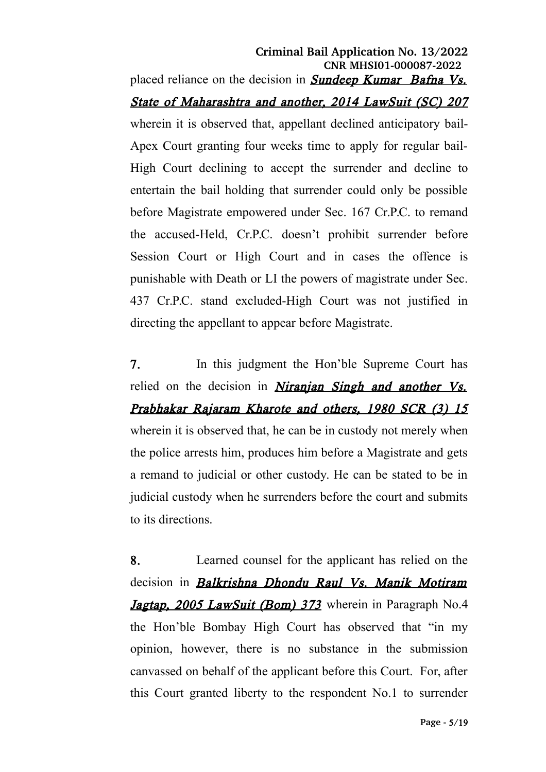placed reliance on the decision in **Sundeep Kumar** Bafna Vs. State of Maharashtra and another, 2014 LawSuit (SC) 207 wherein it is observed that, appellant declined anticipatory bail-Apex Court granting four weeks time to apply for regular bail-High Court declining to accept the surrender and decline to entertain the bail holding that surrender could only be possible before Magistrate empowered under Sec. 167 Cr.P.C. to remand the accused-Held, Cr.P.C. doesn't prohibit surrender before Session Court or High Court and in cases the offence is punishable with Death or LI the powers of magistrate under Sec. 437 Cr.P.C. stand excluded-High Court was not justified in directing the appellant to appear before Magistrate.

7. In this judgment the Hon'ble Supreme Court has relied on the decision in *Niranjan Singh and another Vs.* Prabhakar Rajaram Kharote and others, 1980 SCR (3) 15 wherein it is observed that, he can be in custody not merely when the police arrests him, produces him before a Magistrate and gets a remand to judicial or other custody. He can be stated to be in judicial custody when he surrenders before the court and submits to its directions.

8. Learned counsel for the applicant has relied on the decision in **Balkrishna Dhondu Raul Vs. Manik Motiram** Jagtap, 2005 LawSuit (Bom) 373 wherein in Paragraph No.4 the Hon'ble Bombay High Court has observed that "in my opinion, however, there is no substance in the submission canvassed on behalf of the applicant before this Court. For, after this Court granted liberty to the respondent No.1 to surrender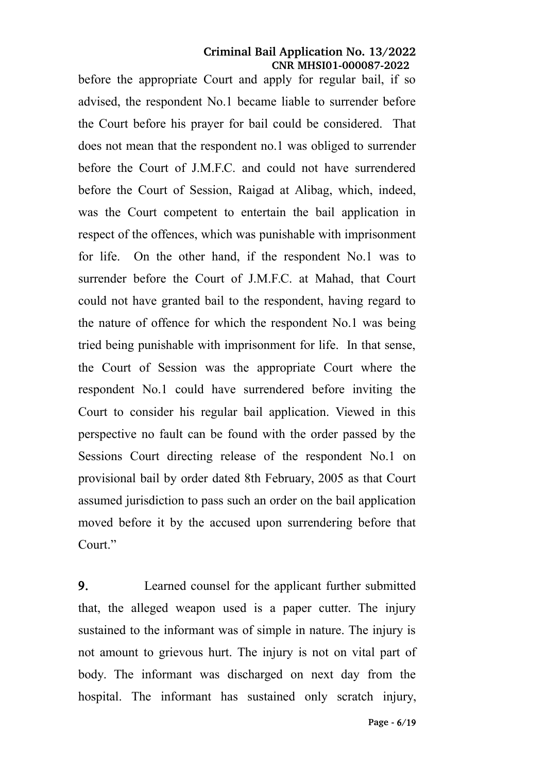before the appropriate Court and apply for regular bail, if so advised, the respondent No.1 became liable to surrender before the Court before his prayer for bail could be considered. That does not mean that the respondent no.1 was obliged to surrender before the Court of J.M.F.C. and could not have surrendered before the Court of Session, Raigad at Alibag, which, indeed, was the Court competent to entertain the bail application in respect of the offences, which was punishable with imprisonment for life. On the other hand, if the respondent No.1 was to surrender before the Court of J.M.F.C. at Mahad, that Court could not have granted bail to the respondent, having regard to the nature of offence for which the respondent No.1 was being tried being punishable with imprisonment for life. In that sense, the Court of Session was the appropriate Court where the respondent No.1 could have surrendered before inviting the Court to consider his regular bail application. Viewed in this perspective no fault can be found with the order passed by the Sessions Court directing release of the respondent No.1 on provisional bail by order dated 8th February, 2005 as that Court assumed jurisdiction to pass such an order on the bail application moved before it by the accused upon surrendering before that Court."

9. Learned counsel for the applicant further submitted that, the alleged weapon used is a paper cutter. The injury sustained to the informant was of simple in nature. The injury is not amount to grievous hurt. The injury is not on vital part of body. The informant was discharged on next day from the hospital. The informant has sustained only scratch injury,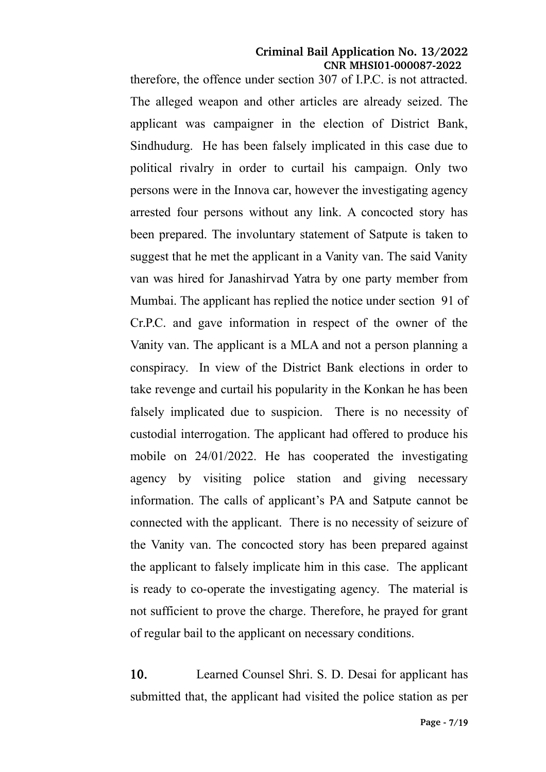therefore, the offence under section 307 of I.P.C. is not attracted. The alleged weapon and other articles are already seized. The applicant was campaigner in the election of District Bank, Sindhudurg. He has been falsely implicated in this case due to political rivalry in order to curtail his campaign. Only two persons were in the Innova car, however the investigating agency arrested four persons without any link. A concocted story has been prepared. The involuntary statement of Satpute is taken to suggest that he met the applicant in a Vanity van. The said Vanity van was hired for Janashirvad Yatra by one party member from Mumbai. The applicant has replied the notice under section 91 of Cr.P.C. and gave information in respect of the owner of the Vanity van. The applicant is a MLA and not a person planning a conspiracy. In view of the District Bank elections in order to take revenge and curtail his popularity in the Konkan he has been falsely implicated due to suspicion. There is no necessity of custodial interrogation. The applicant had offered to produce his mobile on 24/01/2022. He has cooperated the investigating agency by visiting police station and giving necessary information. The calls of applicant's PA and Satpute cannot be connected with the applicant. There is no necessity of seizure of the Vanity van. The concocted story has been prepared against the applicant to falsely implicate him in this case. The applicant is ready to co-operate the investigating agency. The material is not sufficient to prove the charge. Therefore, he prayed for grant of regular bail to the applicant on necessary conditions.

10. Learned Counsel Shri. S. D. Desai for applicant has submitted that, the applicant had visited the police station as per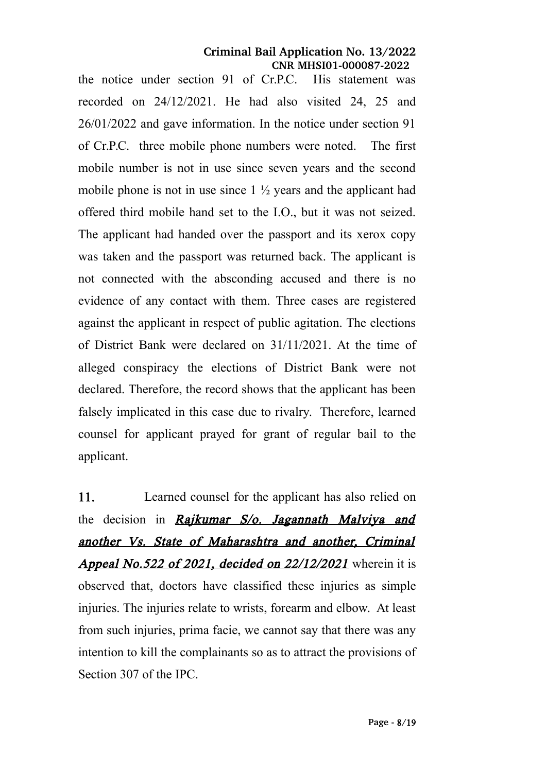the notice under section 91 of Cr.P.C. His statement was recorded on 24/12/2021. He had also visited 24, 25 and 26/01/2022 and gave information. In the notice under section 91 of Cr.P.C. three mobile phone numbers were noted. The first mobile number is not in use since seven years and the second mobile phone is not in use since  $1\frac{1}{2}$  years and the applicant had offered third mobile hand set to the I.O., but it was not seized. The applicant had handed over the passport and its xerox copy was taken and the passport was returned back. The applicant is not connected with the absconding accused and there is no evidence of any contact with them. Three cases are registered against the applicant in respect of public agitation. The elections of District Bank were declared on 31/11/2021. At the time of alleged conspiracy the elections of District Bank were not declared. Therefore, the record shows that the applicant has been falsely implicated in this case due to rivalry. Therefore, learned counsel for applicant prayed for grant of regular bail to the applicant.

11. Learned counsel for the applicant has also relied on the decision in Rajkumar S/o. Jagannath Malviya and another Vs. State of Maharashtra and another, Criminal **Appeal No.522 of 2021, decided on 22/12/2021** wherein it is observed that, doctors have classified these injuries as simple injuries. The injuries relate to wrists, forearm and elbow. At least from such injuries, prima facie, we cannot say that there was any intention to kill the complainants so as to attract the provisions of Section 307 of the IPC.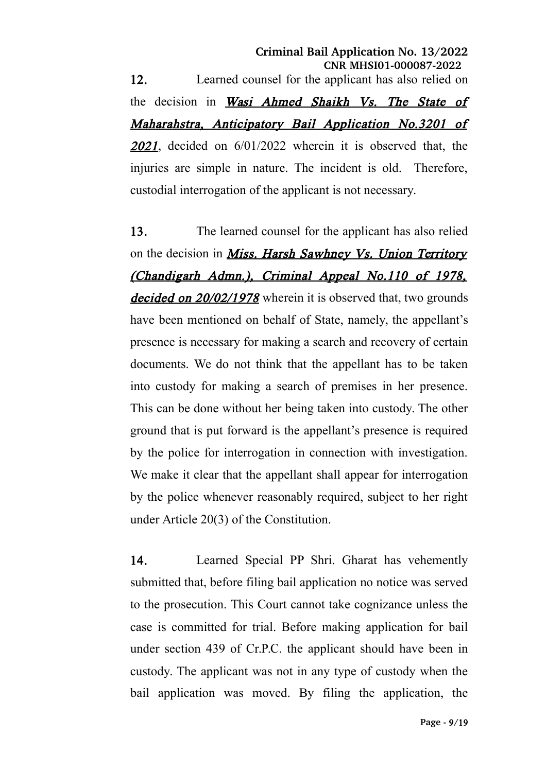12. Learned counsel for the applicant has also relied on the decision in *Wasi Ahmed Shaikh Vs. The State of* Maharahstra, Anticipatory Bail Application No.3201 of <sup>2021</sup>, decided on 6/01/2022 wherein it is observed that, the injuries are simple in nature. The incident is old. Therefore, custodial interrogation of the applicant is not necessary.

13. The learned counsel for the applicant has also relied on the decision in *Miss. Harsh Sawhney Vs. Union Territory* (Chandigarh Admn.), Criminal Appeal No.110 of 1978, decided on 20/02/1978 wherein it is observed that, two grounds have been mentioned on behalf of State, namely, the appellant's presence is necessary for making a search and recovery of certain documents. We do not think that the appellant has to be taken into custody for making a search of premises in her presence. This can be done without her being taken into custody. The other ground that is put forward is the appellant's presence is required by the police for interrogation in connection with investigation. We make it clear that the appellant shall appear for interrogation by the police whenever reasonably required, subject to her right under Article 20(3) of the Constitution.

14. Learned Special PP Shri. Gharat has vehemently submitted that, before filing bail application no notice was served to the prosecution. This Court cannot take cognizance unless the case is committed for trial. Before making application for bail under section 439 of Cr.P.C. the applicant should have been in custody. The applicant was not in any type of custody when the bail application was moved. By filing the application, the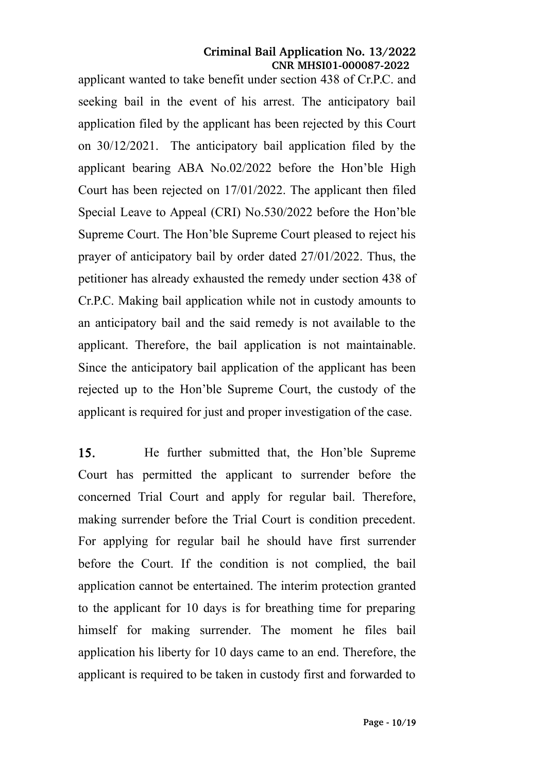applicant wanted to take benefit under section 438 of Cr.P.C. and seeking bail in the event of his arrest. The anticipatory bail application filed by the applicant has been rejected by this Court on 30/12/2021. The anticipatory bail application filed by the applicant bearing ABA No.02/2022 before the Hon'ble High Court has been rejected on 17/01/2022. The applicant then filed Special Leave to Appeal (CRI) No.530/2022 before the Hon'ble Supreme Court. The Hon'ble Supreme Court pleased to reject his prayer of anticipatory bail by order dated 27/01/2022. Thus, the petitioner has already exhausted the remedy under section 438 of Cr.P.C. Making bail application while not in custody amounts to an anticipatory bail and the said remedy is not available to the applicant. Therefore, the bail application is not maintainable. Since the anticipatory bail application of the applicant has been rejected up to the Hon'ble Supreme Court, the custody of the applicant is required for just and proper investigation of the case.

15. He further submitted that, the Hon'ble Supreme Court has permitted the applicant to surrender before the concerned Trial Court and apply for regular bail. Therefore, making surrender before the Trial Court is condition precedent. For applying for regular bail he should have first surrender before the Court. If the condition is not complied, the bail application cannot be entertained. The interim protection granted to the applicant for 10 days is for breathing time for preparing himself for making surrender. The moment he files bail application his liberty for 10 days came to an end. Therefore, the applicant is required to be taken in custody first and forwarded to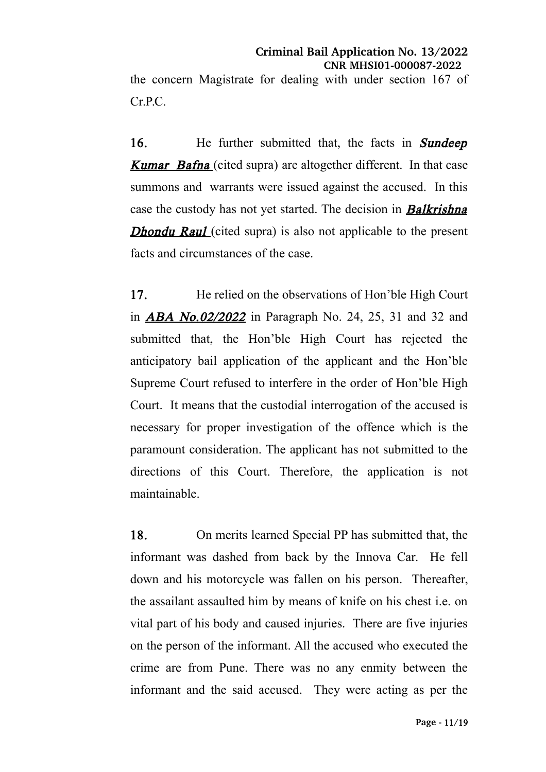the concern Magistrate for dealing with under section 167 of Cr.P.C.

16. He further submitted that, the facts in **Sundeep Kumar Bafna** (cited supra) are altogether different. In that case summons and warrants were issued against the accused. In this case the custody has not yet started. The decision in **Balkrishna Dhondu Raul** (cited supra) is also not applicable to the present facts and circumstances of the case.

17. He relied on the observations of Hon'ble High Court in ABA No.02/2022 in Paragraph No. 24, 25, 31 and 32 and submitted that, the Hon'ble High Court has rejected the anticipatory bail application of the applicant and the Hon'ble Supreme Court refused to interfere in the order of Hon'ble High Court. It means that the custodial interrogation of the accused is necessary for proper investigation of the offence which is the paramount consideration. The applicant has not submitted to the directions of this Court. Therefore, the application is not maintainable.

18. On merits learned Special PP has submitted that, the informant was dashed from back by the Innova Car. He fell down and his motorcycle was fallen on his person. Thereafter, the assailant assaulted him by means of knife on his chest i.e. on vital part of his body and caused injuries. There are five injuries on the person of the informant. All the accused who executed the crime are from Pune. There was no any enmity between the informant and the said accused. They were acting as per the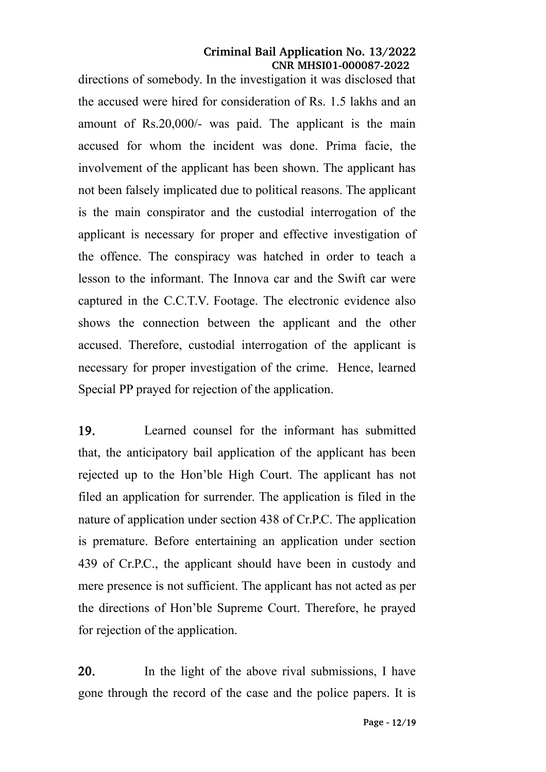directions of somebody. In the investigation it was disclosed that the accused were hired for consideration of Rs. 1.5 lakhs and an amount of Rs.20,000/- was paid. The applicant is the main accused for whom the incident was done. Prima facie, the involvement of the applicant has been shown. The applicant has not been falsely implicated due to political reasons. The applicant is the main conspirator and the custodial interrogation of the applicant is necessary for proper and effective investigation of the offence. The conspiracy was hatched in order to teach a lesson to the informant. The Innova car and the Swift car were captured in the C.C.T.V. Footage. The electronic evidence also shows the connection between the applicant and the other accused. Therefore, custodial interrogation of the applicant is necessary for proper investigation of the crime. Hence, learned Special PP prayed for rejection of the application.

19. Learned counsel for the informant has submitted that, the anticipatory bail application of the applicant has been rejected up to the Hon'ble High Court. The applicant has not filed an application for surrender. The application is filed in the nature of application under section 438 of Cr.P.C. The application is premature. Before entertaining an application under section 439 of Cr.P.C., the applicant should have been in custody and mere presence is not sufficient. The applicant has not acted as per the directions of Hon'ble Supreme Court. Therefore, he prayed for rejection of the application.

20. In the light of the above rival submissions. I have gone through the record of the case and the police papers. It is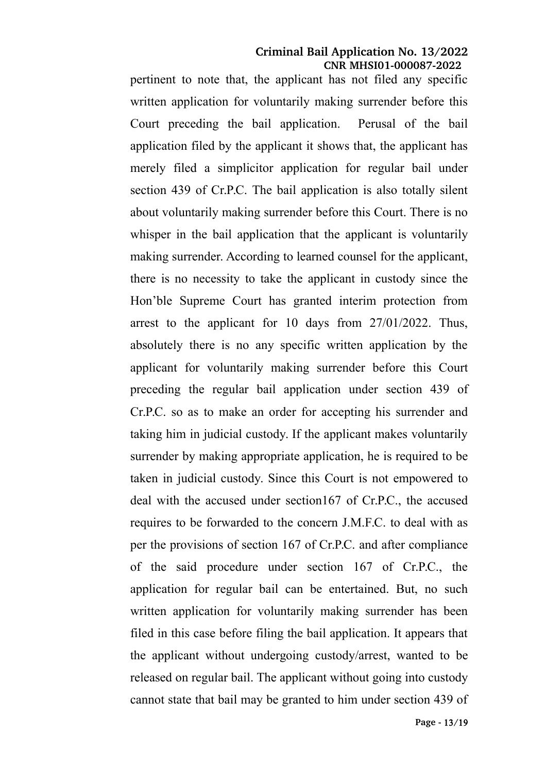pertinent to note that, the applicant has not filed any specific written application for voluntarily making surrender before this Court preceding the bail application. Perusal of the bail application filed by the applicant it shows that, the applicant has merely filed a simplicitor application for regular bail under section 439 of Cr.P.C. The bail application is also totally silent about voluntarily making surrender before this Court. There is no whisper in the bail application that the applicant is voluntarily making surrender. According to learned counsel for the applicant, there is no necessity to take the applicant in custody since the Hon'ble Supreme Court has granted interim protection from arrest to the applicant for 10 days from 27/01/2022. Thus, absolutely there is no any specific written application by the applicant for voluntarily making surrender before this Court preceding the regular bail application under section 439 of Cr.P.C. so as to make an order for accepting his surrender and taking him in judicial custody. If the applicant makes voluntarily surrender by making appropriate application, he is required to be taken in judicial custody. Since this Court is not empowered to deal with the accused under section167 of Cr.P.C., the accused requires to be forwarded to the concern J.M.F.C. to deal with as per the provisions of section 167 of Cr.P.C. and after compliance of the said procedure under section 167 of Cr.P.C., the application for regular bail can be entertained. But, no such written application for voluntarily making surrender has been filed in this case before filing the bail application. It appears that the applicant without undergoing custody/arrest, wanted to be released on regular bail. The applicant without going into custody cannot state that bail may be granted to him under section 439 of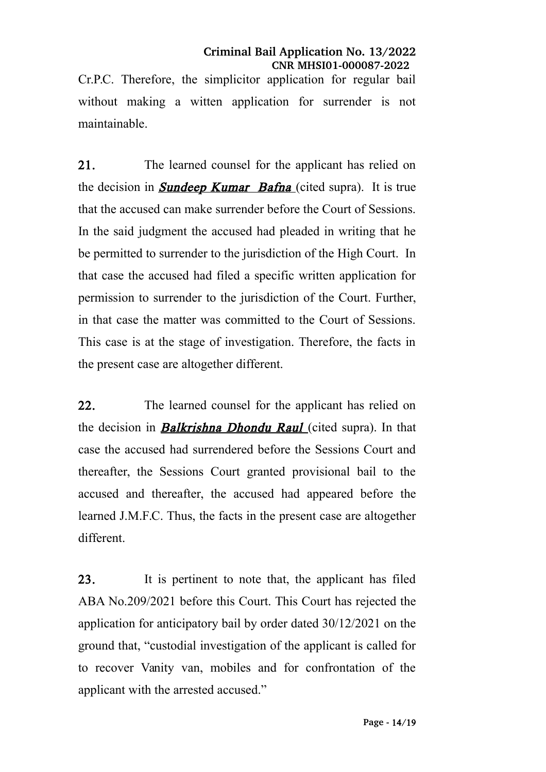Cr.P.C. Therefore, the simplicitor application for regular bail without making a witten application for surrender is not maintainable.

21. The learned counsel for the applicant has relied on the decision in **Sundeep Kumar Bafna** (cited supra). It is true that the accused can make surrender before the Court of Sessions. In the said judgment the accused had pleaded in writing that he be permitted to surrender to the jurisdiction of the High Court. In that case the accused had filed a specific written application for permission to surrender to the jurisdiction of the Court. Further, in that case the matter was committed to the Court of Sessions. This case is at the stage of investigation. Therefore, the facts in the present case are altogether different.

22. The learned counsel for the applicant has relied on the decision in **Balkrishna Dhondu Raul** (cited supra). In that case the accused had surrendered before the Sessions Court and thereafter, the Sessions Court granted provisional bail to the accused and thereafter, the accused had appeared before the learned J.M.F.C. Thus, the facts in the present case are altogether different.

23. It is pertinent to note that, the applicant has filed ABA No.209/2021 before this Court. This Court has rejected the application for anticipatory bail by order dated 30/12/2021 on the ground that, "custodial investigation of the applicant is called for to recover Vanity van, mobiles and for confrontation of the applicant with the arrested accused."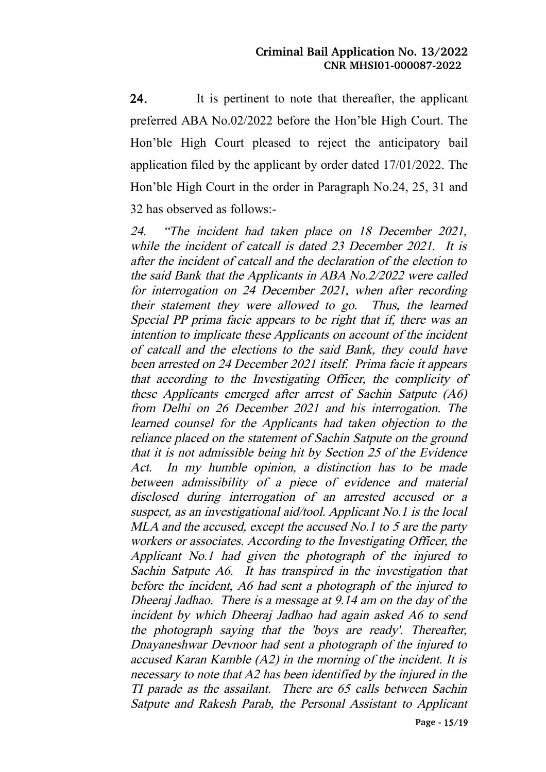24. It is pertinent to note that thereafter, the applicant preferred ABA No.02/2022 before the Hon'ble High Court. The Hon'ble High Court pleased to reject the anticipatory bail application filed by the applicant by order dated 17/01/2022. The Hon'ble High Court in the order in Paragraph No.24, 25, 31 and 32 has observed as follows:-

24. "The incident had taken place on <sup>18</sup> December 2021, while the incident of catcall is dated 23 December 2021. It is after the incident of catcall and the declaration of the election to the said Bank that the Applicants in ABA No.2/2022 were called for interrogation on 24 December 2021, when after recording their statement they were allowed to go. Thus, the learned Special PP prima facie appears to be right that if, there was an intention to implicate these Applicants on account of the incident of catcall and the elections to the said Bank, they could have been arrested on 24 December 2021 itself. Prima facie it appears that according to the Investigating Officer, the complicity of these Applicants emerged after arrest of Sachin Satpute (A6) from Delhi on 26 December 2021 and his interrogation. The learned counsel for the Applicants had taken objection to the reliance placed on the statement of Sachin Satpute on the ground that it is not admissible being hit by Section 25 of the Evidence Act. In my humble opinion, <sup>a</sup> distinction has to be made between admissibility of <sup>a</sup> piece of evidence and material disclosed during interrogation of an arrested accused or <sup>a</sup> suspect, as an investigational aid/tool. Applicant No.1 is the local MLA and the accused, except the accused No.1 to 5 are the party workers or associates. According to the Investigating Officer, the Applicant No.1 had given the photograph of the injured to Sachin Satpute A6. It has transpired in the investigation that before the incident, A6 had sent a photograph of the injured to Dheeraj Jadhao. There is a message at 9.14 am on the day of the incident by which Dheeraj Jadhao had again asked A6 to send the photograph saying that the 'boys are ready'. Thereafter, Dnayaneshwar Devnoor had sent a photograph of the injured to accused Karan Kamble (A2) in the morning of the incident. It is necessary to note that A2 has been identified by the injured in the TI parade as the assailant. There are 65 calls between Sachin Satpute and Rakesh Parab, the Personal Assistant to Applicant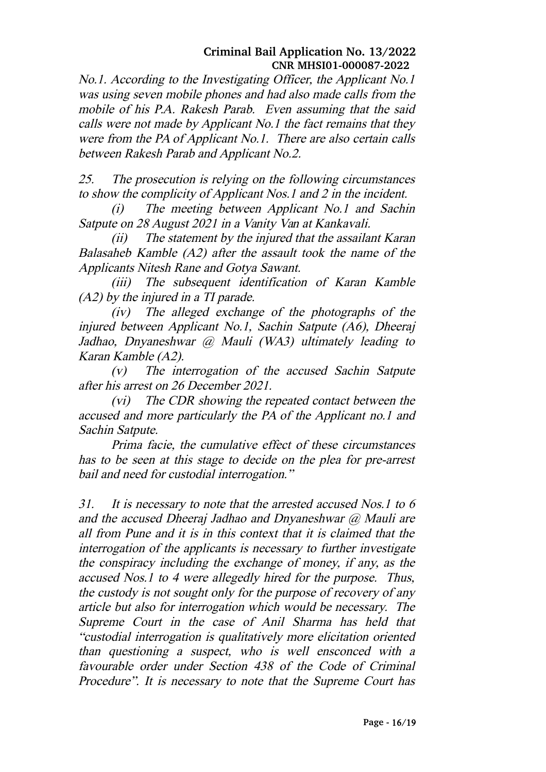No.1. According to the Investigating Officer, the Applicant No.1 was using seven mobile phones and had also made calls from the mobile of his P.A. Rakesh Parab. Even assuming that the said calls were not made by Applicant No.1 the fact remains that they were from the PA of Applicant No.1. There are also certain calls between Rakesh Parab and Applicant No.2.

25. The prosecution is relying on the following circumstances to show the complicity of Applicant Nos.1 and 2 in the incident.

(i) The meeting between Applicant No.1 and Sachin Satpute on 28 August 2021 in a Vanity Van at Kankavali.

(ii) The statement by the injured that the assailant Karan Balasaheb Kamble (A2) after the assault took the name of the Applicants Nitesh Rane and Gotya Sawant.

(iii) The subsequent identification of Karan Kamble (A2) by the injured in a TI parade.

(iv) The alleged exchange of the photographs of the injured between Applicant No.1, Sachin Satpute (A6), Dheeraj Jadhao, Dnyaneshwar @ Mauli (WA3) ultimately leading to Karan Kamble (A2).

(v) The interrogation of the accused Sachin Satpute after his arrest on 26 December 2021.

(vi) The CDR showing the repeated contact between the accused and more particularly the PA of the Applicant no.1 and Sachin Satpute.

Prima facie, the cumulative effect of these circumstances has to be seen at this stage to decide on the plea for pre-arrest bail and need for custodial interrogation."

31. It is necessary to note that the arrested accused Nos.1 to 6 and the accused Dheeraj Jadhao and Dnyaneshwar  $(a)$  Mauli are all from Pune and it is in this context that it is claimed that the interrogation of the applicants is necessary to further investigate the conspiracy including the exchange of money, if any, as the accused Nos.1 to 4 were allegedly hired for the purpose. Thus, the custody is not sought only for the purpose of recovery of any article but also for interrogation which would be necessary. The Supreme Court in the case of Anil Sharma has held that "custodial interrogation is qualitatively more elicitation oriented than questioning <sup>a</sup> suspect, who is well ensconced with <sup>a</sup> favourable order under Section <sup>438</sup> of the Code of Criminal Procedure". It is necessary to note that the Supreme Court has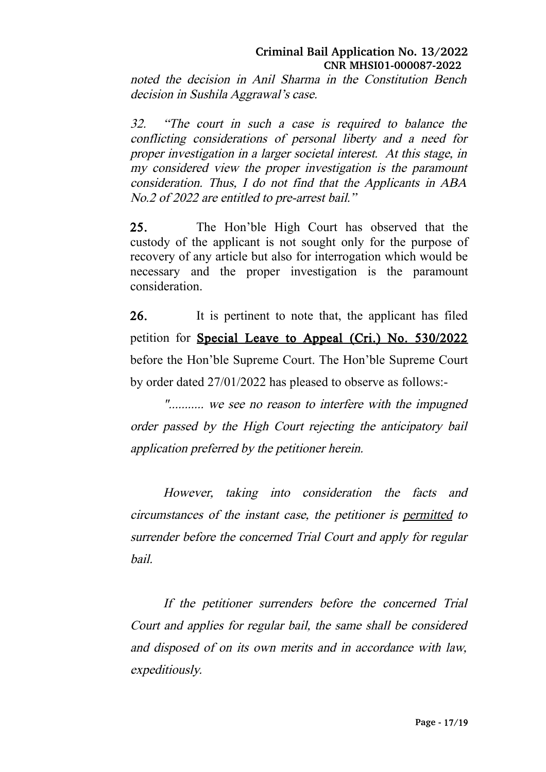noted the decision in Anil Sharma in the Constitution Bench decision in Sushila Aggrawal's case.

32. "The court in such <sup>a</sup> case is required to balance the conflicting considerations of personal liberty and <sup>a</sup> need for proper investigation in a larger societal interest. At this stage, in my considered view the proper investigation is the paramount consideration. Thus, I do not find that the Applicants in ABA No.2 of 2022 are entitled to pre-arrest bail."

25. The Hon'ble High Court has observed that the custody of the applicant is not sought only for the purpose of recovery of any article but also for interrogation which would be necessary and the proper investigation is the paramount consideration.

26. It is pertinent to note that, the applicant has filed petition for Special Leave to Appeal (Cri.) No. 530/2022 before the Hon'ble Supreme Court. The Hon'ble Supreme Court by order dated 27/01/2022 has pleased to observe as follows:-

"........... we see no reason to interfere with the impugned order passed by the High Court rejecting the anticipatory bail application preferred by the petitioner herein.

However, taking into consideration the facts and circumstances of the instant case, the petitioner is permitted to surrender before the concerned Trial Court and apply for regular bail.

If the petitioner surrenders before the concerned Trial Court and applies for regular bail, the same shall be considered and disposed of on its own merits and in accordance with law, expeditiously.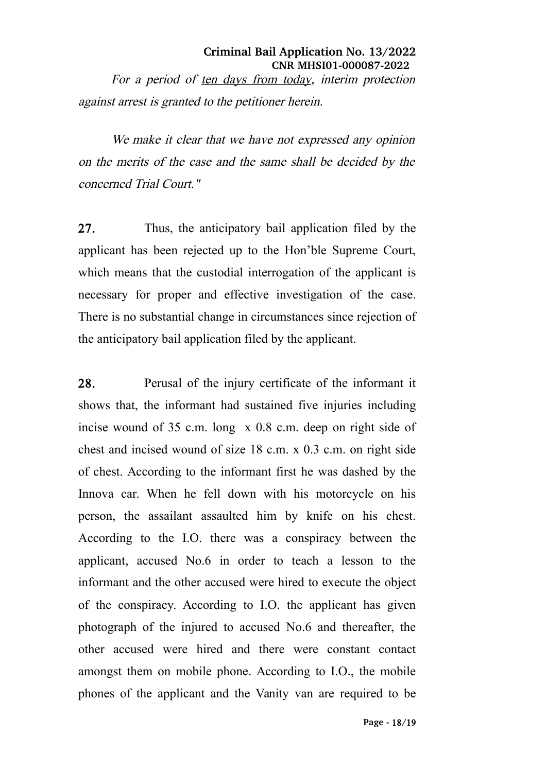**Criminal Bail Application No. 13/2022 CNR MHSI01-000087-2022** For a period of ten days from today, interim protection against arrest is granted to the petitioner herein.

We make it clear that we have not expressed any opinion on the merits of the case and the same shall be decided by the concerned Trial Court."

27. Thus, the anticipatory bail application filed by the applicant has been rejected up to the Hon'ble Supreme Court, which means that the custodial interrogation of the applicant is necessary for proper and effective investigation of the case. There is no substantial change in circumstances since rejection of the anticipatory bail application filed by the applicant.

28. Perusal of the injury certificate of the informant it shows that, the informant had sustained five injuries including incise wound of 35 c.m. long x 0.8 c.m. deep on right side of chest and incised wound of size 18 c.m. x 0.3 c.m. on right side of chest. According to the informant first he was dashed by the Innova car. When he fell down with his motorcycle on his person, the assailant assaulted him by knife on his chest. According to the I.O. there was a conspiracy between the applicant, accused No.6 in order to teach a lesson to the informant and the other accused were hired to execute the object of the conspiracy. According to I.O. the applicant has given photograph of the injured to accused No.6 and thereafter, the other accused were hired and there were constant contact amongst them on mobile phone. According to I.O., the mobile phones of the applicant and the Vanity van are required to be